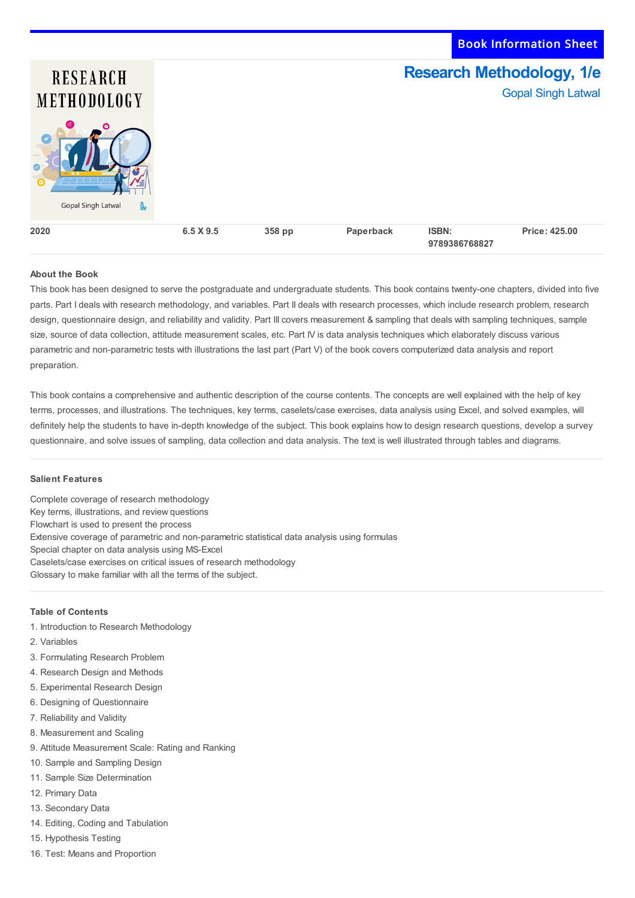Book Information Sheet

**9789386768827**

# **Research Methodology, 1/e RESEARCH** Gopal Singh Latwal **METHODOLOGY** Gopal Singh Latwal **Price: 425.00 2020 6.5 X 9.5 358 pp Paperback ISBN:**

## **About the Book**

This book has been designed to serve the postgraduate and undergraduate students. This book contains twenty-one chapters, divided into five parts. Part I deals with research methodology, and variables. Part II deals with research processes, which include research problem, research design, questionnaire design, and reliability and validity. Part III covers measurement & sampling that deals with sampling techniques, sample size, source of data collection, attitude measurement scales, etc. Part IV is data analysis techniques which elaborately discuss various parametric and non-parametric tests with illustrations the last part (Part V) of the book covers computerized data analysis and report preparation.

This book contains a comprehensive and authentic description of the course contents. The concepts are well explained with the help of key terms, processes, and illustrations. The techniques, key terms, caselets/case exercises, data analysis using Excel, and solved examples, will definitely help the students to have in-depth knowledge of the subject. This book explains how to design research questions, develop a survey questionnaire, and solve issues of sampling, data collection and data analysis. The text is well illustrated through tables and diagrams.

#### **Salient Features**

Complete coverage of research methodology Key terms, illustrations, and review questions Flowchart is used to present the process Extensive coverage of parametric and non-parametric statistical data analysis using formulas Special chapter on data analysis using MS-Excel Caselets/case exercises on critical issues of research methodology Glossary to make familiar with all the terms of the subject.

## **Table of Contents**

- 1. Introduction to Research Methodology
- 2. Variables
- 3. Formulating Research Problem
- 4. Research Design and Methods
- 5. Experimental Research Design
- 6. Designing of Questionnaire
- 7. Reliability and Validity
- 8. Measurement and Scaling
- 9. Attitude Measurement Scale: Rating and Ranking
- 10. Sample and Sampling Design
- 11. Sample Size Determination
- 12. Primary Data
- 13. Secondary Data
- 14. Editing, Coding and Tabulation
- 15. Hypothesis Testing
- 16. Test: Means and Proportion